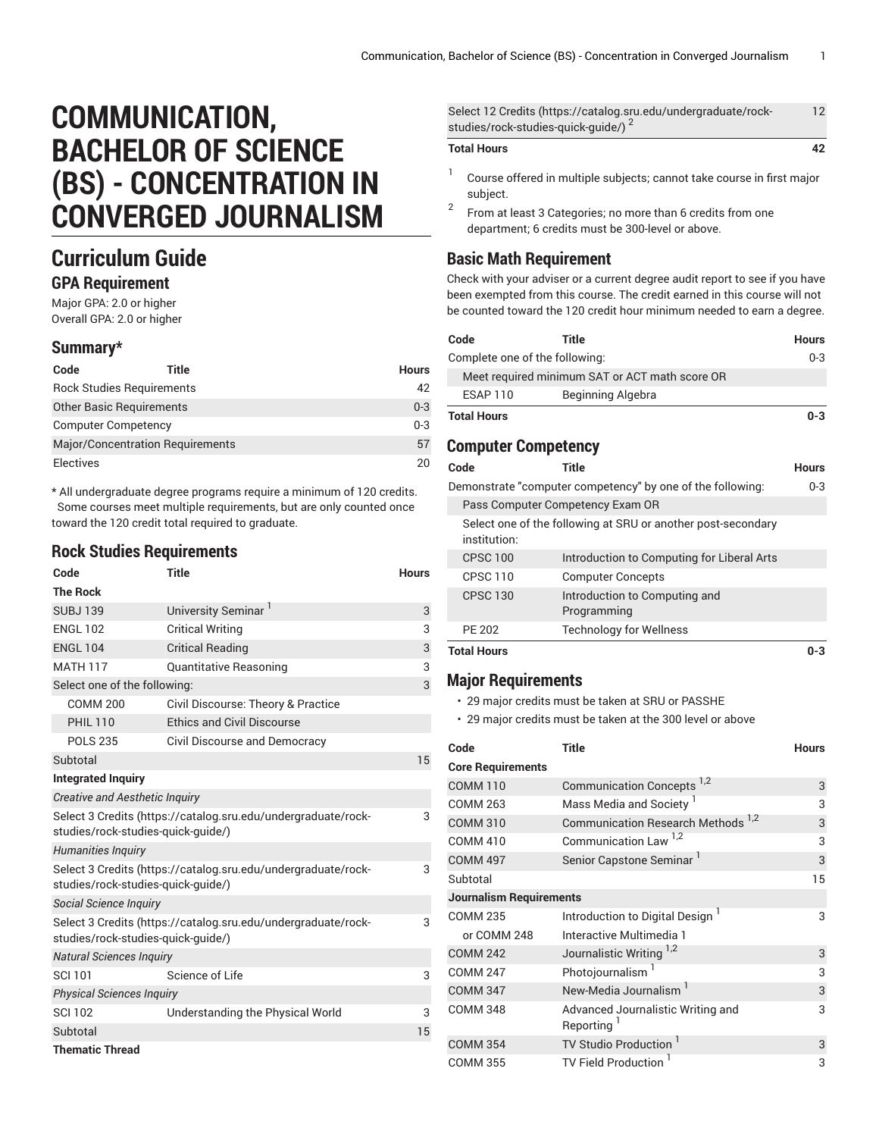# **COMMUNICATION, BACHELOR OF SCIENCE (BS) - CONCENTRATION IN CONVERGED JOURNALISM**

## **Curriculum Guide**

#### **GPA Requirement**

Major GPA: 2.0 or higher Overall GPA: 2.0 or higher

#### **Summary\***

| Code                             | Title                            | <b>Hours</b> |
|----------------------------------|----------------------------------|--------------|
|                                  | <b>Rock Studies Requirements</b> | 42           |
| <b>Other Basic Requirements</b>  |                                  | $0 - 3$      |
| <b>Computer Competency</b>       |                                  | $0 - 3$      |
| Major/Concentration Requirements |                                  | 57           |
| <b>Electives</b>                 |                                  | 20           |

\* All undergraduate degree programs require a minimum of 120 credits. Some courses meet multiple requirements, but are only counted once toward the 120 credit total required to graduate.

#### **Rock Studies Requirements**

| Code                                                                                                | <b>Title</b>                                                  | <b>Hours</b> |
|-----------------------------------------------------------------------------------------------------|---------------------------------------------------------------|--------------|
| <b>The Rock</b>                                                                                     |                                                               |              |
| <b>SUBJ139</b>                                                                                      | University Seminar                                            | 3            |
| <b>ENGL 102</b>                                                                                     | <b>Critical Writing</b>                                       | 3            |
| <b>ENGL 104</b>                                                                                     | <b>Critical Reading</b>                                       | 3            |
| <b>MATH 117</b>                                                                                     | <b>Quantitative Reasoning</b>                                 | 3            |
| Select one of the following:                                                                        |                                                               | 3            |
| <b>COMM 200</b>                                                                                     | Civil Discourse: Theory & Practice                            |              |
| <b>PHIL 110</b>                                                                                     | <b>Ethics and Civil Discourse</b>                             |              |
| <b>POLS 235</b>                                                                                     | Civil Discourse and Democracy                                 |              |
| Subtotal                                                                                            |                                                               | 15           |
| <b>Integrated Inquiry</b>                                                                           |                                                               |              |
| <b>Creative and Aesthetic Inquiry</b>                                                               |                                                               |              |
| Select 3 Credits (https://catalog.sru.edu/undergraduate/rock-<br>studies/rock-studies-quick-quide/) |                                                               | 3            |
| <b>Humanities Inquiry</b>                                                                           |                                                               |              |
| Select 3 Credits (https://catalog.sru.edu/undergraduate/rock-<br>studies/rock-studies-quick-quide/) |                                                               | 3            |
| Social Science Inquiry                                                                              |                                                               |              |
| studies/rock-studies-quick-quide/)                                                                  | Select 3 Credits (https://catalog.sru.edu/undergraduate/rock- | 3            |
| <b>Natural Sciences Inquiry</b>                                                                     |                                                               |              |
| <b>SCI 101</b>                                                                                      | Science of Life                                               | 3            |
| <b>Physical Sciences Inquiry</b>                                                                    |                                                               |              |
| <b>SCI 102</b>                                                                                      | Understanding the Physical World                              | 3            |
| Subtotal                                                                                            |                                                               | 15           |
| <b>Thematic Thread</b>                                                                              |                                                               |              |

| <b>Total Hours</b>                                             | 42 |
|----------------------------------------------------------------|----|
| studies/rock-studies-quick-quide/)                             |    |
| Select 12 Credits (https://catalog.sru.edu/undergraduate/rock- | 12 |

#### 1 Course offered in multiple subjects; cannot take course in first major subject.

2 From at least 3 Categories; no more than 6 credits from one department; 6 credits must be 300-level or above.

### **Basic Math Requirement**

Check with your adviser or a current degree audit report to see if you have been exempted from this course. The credit earned in this course will not be counted toward the 120 credit hour minimum needed to earn a degree.

| Code                                           | <b>Title</b>                                                 | <b>Hours</b> |
|------------------------------------------------|--------------------------------------------------------------|--------------|
| Complete one of the following:                 |                                                              | 0-3          |
| Meet required minimum SAT or ACT math score OR |                                                              |              |
| <b>ESAP 110</b>                                | Beginning Algebra                                            |              |
| <b>Total Hours</b>                             |                                                              | $0 - 3$      |
| <b>Computer Competency</b>                     |                                                              |              |
| Code                                           | Title                                                        | <b>Hours</b> |
|                                                | Demonstrate "computer competency" by one of the following:   | $0 - 3$      |
|                                                | Pass Computer Competency Exam OR                             |              |
| institution:                                   | Select one of the following at SRU or another post-secondary |              |
| <b>CPSC 100</b>                                | Introduction to Computing for Liberal Arts                   |              |
| <b>CPSC 110</b>                                | <b>Computer Concepts</b>                                     |              |
| <b>CPSC 130</b>                                | Introduction to Computing and<br>Programming                 |              |
| <b>PE 202</b>                                  | <b>Technology for Wellness</b>                               |              |
| <b>Total Hours</b>                             |                                                              | $0 - 3$      |

### **Major Requirements**

• 29 major credits must be taken at SRU or PASSHE

• 29 major credits must be taken at the 300 level or above

| Code                           | Title                                                       | <b>Hours</b> |
|--------------------------------|-------------------------------------------------------------|--------------|
| <b>Core Requirements</b>       |                                                             |              |
| <b>COMM 110</b>                | Communication Concepts <sup>1,2</sup>                       | 3            |
| <b>COMM 263</b>                | Mass Media and Society <sup>1</sup>                         | 3            |
| <b>COMM 310</b>                | Communication Research Methods <sup>1,2</sup>               | 3            |
| <b>COMM 410</b>                | Communication Law <sup>1,2</sup>                            | 3            |
| <b>COMM 497</b>                | Senior Capstone Seminar <sup>1</sup>                        | 3            |
| Subtotal                       |                                                             | 15           |
| <b>Journalism Requirements</b> |                                                             |              |
| <b>COMM 235</b>                | Introduction to Digital Design <sup>1</sup>                 | 3            |
| or COMM 248                    | Interactive Multimedia 1                                    |              |
| <b>COMM 242</b>                | Journalistic Writing 1,2                                    | 3            |
| <b>COMM 247</b>                | Photojournalism <sup>1</sup>                                | 3            |
| <b>COMM 347</b>                | New-Media Journalism <sup>1</sup>                           | 3            |
| <b>COMM 348</b>                | Advanced Journalistic Writing and<br>Reporting <sup>1</sup> | 3            |
| <b>COMM 354</b>                | TV Studio Production                                        | 3            |
| <b>COMM 355</b>                | <b>TV Field Production</b>                                  | 3            |